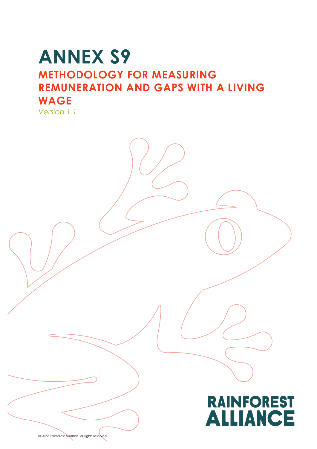# **ANNEX S9 METHODOLOGY FOR MEASURING REMUNERATION AND GAPS WITH A LIVING WAGE**





© 2022 Rainforest Alliance. All rights reserved.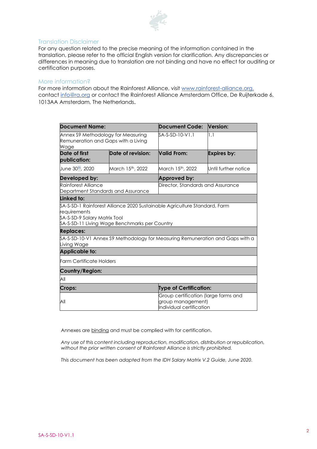

#### Translation Disclaimer

For any question related to the precise meaning of the information contained in the translation, please refer to the official English version for clarification. Any discrepancies or differences in meaning due to translation are not binding and have no effect for auditing or certification purposes.

#### More information?

For more information about the Rainforest Alliance, visit [www.rainforest-alliance.org,](http://www.rainforest-alliance.org/) contact [info@ra.org](mailto:info@ra.org) or contact the Rainforest Alliance Amsterdam Office, De Ruijterkade 6, 1013AA Amsterdam, The Netherlands.

| Document Name:                                                                    |                                                | Document Code:                                                                        | Version:             |
|-----------------------------------------------------------------------------------|------------------------------------------------|---------------------------------------------------------------------------------------|----------------------|
| Annex S9 Methodology for Measuring<br>Remuneration and Gaps with a Living<br>Wage |                                                | SA-S-SD-10-V1.1                                                                       | 1.1                  |
| Date of first<br>publication:                                                     | Date of revision:                              | <b>Valid From:</b>                                                                    | Expires by:          |
| June 30 <sup>th</sup> , 2020                                                      | March 15th, 2022                               | March 15 <sup>th</sup> , 2022                                                         | Until further notice |
| Developed by:                                                                     |                                                | Approved by:                                                                          |                      |
| Rainforest Alliance<br>Department Standards and Assurance                         |                                                | Director, Standards and Assurance                                                     |                      |
| Linked to:                                                                        |                                                |                                                                                       |                      |
| requirements<br>SA-S-SD-9 Salary Matrix Tool                                      | \$A-S-SD-11 Living Wage Benchmarks per Country | \$A-S-SD-1 Rainforest Alliance 2020 Sustainable Agriculture Standard, Farm            |                      |
| <b>Replaces:</b>                                                                  |                                                |                                                                                       |                      |
| Living Wage                                                                       |                                                | \$A-S-SD-10-V1 Annex S9 Methodology for Measuring Remuneration and Gaps with a        |                      |
| <b>Applicable to:</b>                                                             |                                                |                                                                                       |                      |
| <b>Farm Certificate Holders</b>                                                   |                                                |                                                                                       |                      |
| <b>Country/Region:</b>                                                            |                                                |                                                                                       |                      |
| All                                                                               |                                                |                                                                                       |                      |
| Crops:                                                                            |                                                | <b>Type of Certification:</b>                                                         |                      |
| All                                                                               |                                                | Group certification (large farms and<br>group management)<br>Individual certification |                      |

Annexes are binding and must be complied with for certification.

*Any use of this content including reproduction, modification, distribution or republication, without the prior written consent of Rainforest Alliance is strictly prohibited.*

*This document has been adapted from the IDH Salary Matrix V.2 Guide, June 2020.*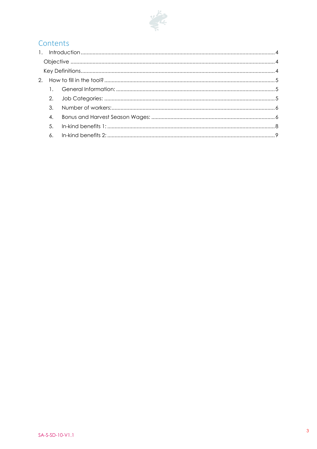

## Contents

| 2. |  |
|----|--|
| 3. |  |
| 4. |  |
| 5. |  |
|    |  |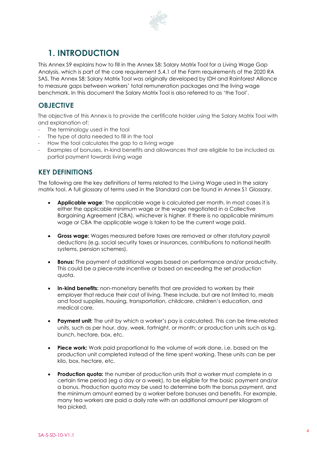

# <span id="page-3-0"></span>**1. INTRODUCTION**

This Annex S9 explains how to fill in the Annex S8: Salary Matrix Tool for a Living Wage Gap Analysis, which is part of the core requirement 5.4.1 of the Farm requirements of the 2020 RA SAS. The Annex S8: Salary Matrix Tool was originally developed by IDH and Rainforest Alliance to measure gaps between workers' total remuneration packages and the living wage benchmark. In this document the Salary Matrix Tool is also referred to as 'the Tool'.

### <span id="page-3-1"></span>**OBJECTIVE**

The objective of this Annex is to provide the certificate holder using the Salary Matrix Tool with and explanation of:

- The terminology used in the tool
- The type of data needed to fill in the tool
- How the tool calculates the gap to a living wage
- Examples of bonuses, in-kind benefits and allowances that are eligible to be included as partial payment towards living wage

### <span id="page-3-2"></span>**KEY DEFINITIONS**

The following are the key definitions of terms related to the Living Wage used in the salary matrix tool. A full glossary of terms used in the Standard can be found in Annex S1 Glossary.

- **Applicable wage**: The applicable wage is calculated per month. In most cases it is either the applicable minimum wage or the wage negotiated in a Collective Bargaining Agreement (CBA), whichever is higher. If there is no applicable minimum wage or CBA the applicable wage is taken to be the current wage paid.
- **Gross wage:** Wages measured before taxes are removed or other statutory payroll deductions (e.g. social security taxes or insurances, contributions to national health systems, pension schemes).
- **Bonus:** The payment of additional wages based on performance and/or productivity. This could be a piece-rate incentive or based on exceeding the set production quota.
- **In-kind benefits:** non-monetary benefits that are provided to workers by their employer that reduce their cost of living. These include, but are not limited to, meals and food supplies, housing, transportation, childcare, children's education, and medical care.
- **Payment unit:** The unit by which a worker's pay is calculated. This can be time-related units, such as per hour, day, week, fortnight, or month; or production units such as kg, bunch, hectare, box, etc.
- **Piece work:** Work paid proportional to the volume of work done, i.e. based on the production unit completed instead of the time spent working. These units can be per kilo, box, hectare, etc.
- **Production quota:** the number of production units that a worker must complete in a certain time period (eg a day or a week), to be eligible for the basic payment and/or a bonus. Production quota may be used to determine both the bonus payment, and the minimum amount earned by a worker before bonuses and benefits. For example, many tea workers are paid a daily rate with an additional amount per kilogram of tea picked.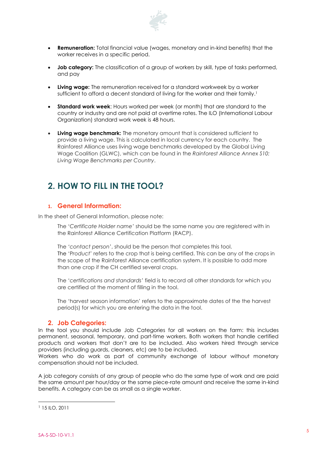

- **Remuneration:** Total financial value (wages, monetary and in-kind benefits) that the worker receives in a specific period.
- **Job category:** The classification of a group of workers by skill, type of tasks performed, and pay
- **Living wage:** The remuneration received for a standard workweek by a worker sufficient to afford a decent standard of living for the worker and their family.<sup>1</sup>
- **Standard work week**: Hours worked per week (or month) that are standard to the country or industry and are not paid at overtime rates. The ILO (International Labour Organization) standard work week is 48 hours.
- **Living wage benchmark:** The monetary amount that is considered sufficient to provide a living wage. This is calculated in local currency for each country. The Rainforest Alliance uses living wage benchmarks developed by the Global Living Wage Coalition (GLWC), which can be found in the *Rainforest Alliance Annex S10: Living Wage Benchmarks per Country*.

# <span id="page-4-0"></span>**2. HOW TO FILL IN THE TOOL?**

#### <span id="page-4-1"></span>**1. General Information:**

In the sheet of General Information, please note:

The '*Certificate Holder name'* should be the same name you are registered with in the Rainforest Alliance Certification Platform (RACP).

The *'contact person*', should be the person that completes this tool. The 'P*roduct*' refers to the crop that is being certified. This can be any of the crops in the scope of the Rainforest Alliance certification system. It is possible to add more than one crop if the CH certified several crops.

The '*certifications and standards'* field is to record all other standards for which you are certified at the moment of filling in the tool.

The 'harvest season information' refers to the approximate dates of the the harvest period(s) for which you are entering the data in the tool.

#### **2. Job Categories:**

<span id="page-4-2"></span>In the tool you should include Job Categories for all workers on the farm: this includes permanent, seasonal, temporary, and part-time workers. Both workers that handle certified products and workers that don't are to be included. Also workers hired through service providers (including guards, cleaners, etc) are to be included.

Workers who do work as part of community exchange of labour without monetary compensation should not be included.

A job category consists of any group of people who do the same type of work and are paid the same amount per hour/day or the same piece-rate amount and receive the same in-kind benefits. A category can be as small as a single worker.

<sup>1</sup> 15 ILO, 2011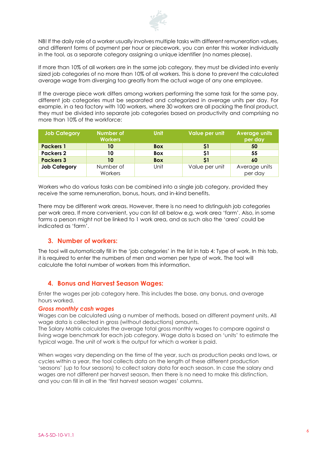

NB! If the daily role of a worker usually involves multiple tasks with different remuneration values, and different forms of payment per hour or piecework, you can enter this worker individually in the tool, as a separate category assigning a unique identifier (no names please).

If more than 10% of all workers are in the same job category, they must be divided into evenly sized job categories of no more than 10% of all workers. This is done to prevent the calculated average wage from diverging too greatly from the actual wage of any one employee.

If the average piece work differs among workers performing the same task for the same pay, different job categories must be separated and categorized in average units per day. For example, in a tea factory with 100 workers, where 30 workers are all packing the final product, they must be divided into separate job categories based on productivity and comprising no more than 10% of the workforce:

| <b>Job Category</b> | Number of<br><b>Workers</b> | <b>Unit</b> | Value per unit | <b>Average units</b><br>per day |
|---------------------|-----------------------------|-------------|----------------|---------------------------------|
| <b>Packers 1</b>    | 10                          | <b>Box</b>  | 51             | 50                              |
| <b>Packers 2</b>    | 10                          | <b>Box</b>  | \$1            | 55                              |
| <b>Packers 3</b>    | 10                          | <b>Box</b>  | S1             | 60                              |
| <b>Job Category</b> | Number of                   | Unit        | Value per unit | Average units                   |
|                     | Workers                     |             |                | per day                         |

Workers who do various tasks can be combined into a single job category, provided they receive the same remuneration, bonus, hours, and in-kind benefits.

There may be different work areas. However, there is no need to distinguish job categories per work area. If more convenient, you can list all below e.g. work area 'farm'. Also, in some farms a person might not be linked to 1 work area, and as such also the 'area' could be indicated as 'farm'.

#### <span id="page-5-0"></span>**3. Number of workers:**

The tool will automatically fill in the 'job categories' in the list in tab 4: Type of work. In this tab, it is required to enter the numbers of men and women per type of work. The tool will calculate the total number of workers from this information.

#### <span id="page-5-1"></span>**4. Bonus and Harvest Season Wages:**

Enter the wages per job category here. This includes the base, any bonus, and average hours worked.

#### *Gross monthly cash wages*

Wages can be calculated using a number of methods, based on different payment units. All wage data is collected in gross (without deductions) amounts.

The Salary Matrix calculates the average total gross monthly wages to compare against a living wage benchmark for each job category. Wage data is based on 'units' to estimate the typical wage. The unit of work is the output for which a worker is paid.

When wages vary depending on the time of the year, such as production peaks and lows, or cycles within a year, the tool collects data on the length of these different production 'seasons' (up to four seasons) to collect salary data for each season. In case the salary and wages are not different per harvest season, then there is no need to make this distinction, and you can fill in all in the 'first harvest season wages' columns.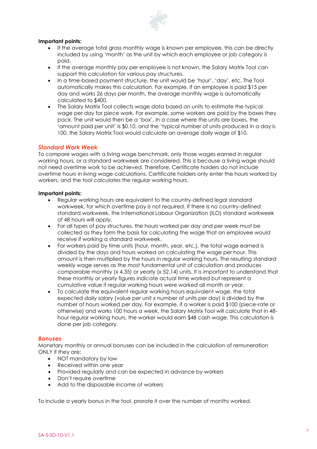

#### **Important points:**

- If the average total gross monthly wage is known per employee, this can be directly included by using 'month' as the unit by which each employee or job category is paid.
- If the average monthly pay per employee is not known, the Salary Matrix Tool can support this calculation for various pay structures.
- In a time-based payment structure, the unit would be 'hour', 'day', etc. The Tool automatically makes this calculation. For example, if an employee is paid \$15 per day and works 26 days per month, the average monthly wage is automatically calculated to \$400.
- The Salary Matrix Tool collects wage data based on units to estimate the typical wage per day for piece work. For example, some workers are paid by the boxes they pack. The unit would then be a 'box'. In a case where the units are boxes, the 'amount paid per unit' is \$0.10, and the 'typical number of units produced in a day is 100, the Salary Matrix Tool would calculate an average daily wage of \$10.

#### *Standard Work Week*

To compare wages with a living wage benchmark, only those wages earned in regular working hours, or a standard workweek are considered. This is because a living wage should not need overtime work to be achieved. Therefore, Certificate holders do not include overtime hours in living wage calculations. Certificate holders only enter the hours worked by workers, and the tool calculates the regular working hours.

#### **Important points:**

- Regular working hours are equivalent to the country-defined legal standard workweek, for which overtime pay is not required. If there is no country-defined standard workweek, the International Labour Organization (ILO) standard workweek of 48 hours will apply.
- For all types of pay structures, the hours worked per day and per week must be collected as they form the basis for calculating the wage that an employee would receive if working a standard workweek.
- For workers paid by time units (hour, month, year, etc.), the total wage earned is divided by the days and hours worked on calculating the wage per hour. This amount is then multiplied by the hours in regular working hours. The resulting standard weekly wage serves as the most fundamental unit of calculation and produces comparable monthly (x 4.35) or yearly (x 52.14) units. It is important to understand that these monthly or yearly figures indicate actual time worked but represent a cumulative value if regular working hours were worked all month or year.
- To calculate the equivalent regular working hours equivalent wage, the total expected daily salary (value per unit x number of units per day) is divided by the number of hours worked per day. For example, if a worker is paid \$100 (piece-rate or otherwise) and works 100 hours a week, the Salary Matrix Tool will calculate that in 48 hour regular working hours, the worker would earn \$48 cash wage. This calculation is done per job category.

#### *Bonuses*

Monetary monthly or annual bonuses can be included in the calculation of remuneration ONLY if they are:

- NOT mandatory by law
- Received within one year
- Provided regularly and can be expected in advance by workers
- Don't require overtime
- Add to the disposable income of workers

To include a yearly bonus in the tool, prorate it over the number of months worked.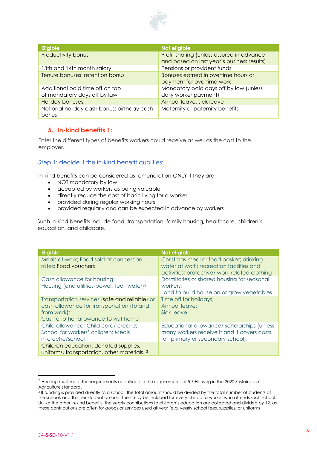

| <b>Eligible</b>                            | Not eligible                               |
|--------------------------------------------|--------------------------------------------|
| Productivity bonus                         | Profit sharing (unless assured in advance  |
|                                            | and based on last year's business results) |
| 13th and 14th month salary                 | Pensions or provident funds                |
| Tenure bonuses; retention bonus            | Bonuses earned in overtime hours or        |
|                                            | payment for overtime work                  |
| Additional paid time off on top            | Mandatory paid days off by law (unless     |
| of mandatory days off by law               | daily worker payment)                      |
| <b>Holiday bonuses</b>                     | Annual leave, sick leave                   |
| National holiday cash bonus; birthday cash | Maternity or paternity benefits            |
| bonus                                      |                                            |

#### <span id="page-7-0"></span>**5. In-kind benefits 1:**

Enter the different types of benefits workers could receive as well as the cost to the employer.

#### Step 1: decide if the in-kind benefit qualifies:

In-kind benefits can be considered as remuneration ONLY if they are:

- NOT mandatory by law
- accepted by workers as being valuable
- directly reduce the cost of basic living for a worker
- provided during regular working hours
- provided regularly and can be expected in advance by workers

Such in-kind benefits include food, transportation, family housing, healthcare, children's education, and childcare.

| <b>Eligible</b>                                                | Not eligible                                                                        |
|----------------------------------------------------------------|-------------------------------------------------------------------------------------|
| Meals at work; Food sold at concession<br>rates; Food vouchers | Christmas meal or food basket; drinking<br>water at work; recreation facilities and |
|                                                                | activities; protective/ work related clothing                                       |
| Cash allowance for housing;                                    | Dormitories or shared housing for seasonal                                          |
| Housing (and utilities-power, fuel, water) <sup>2</sup>        | workers;                                                                            |
|                                                                | Land to build house on or grow vegetables                                           |
| Transportation services (safe and reliable) or                 | Time off for holidays;                                                              |
| cash allowance for transportation (to and                      | Annual leave;                                                                       |
| from work);                                                    | Sick leave                                                                          |
| Cash or other allowance to visit home                          |                                                                                     |
| Child allowance; Child care/ creche;                           | Educational allowance/scholarships (unless                                          |
| School for workers' children; Meals                            | many workers receive it and it covers costs                                         |
| in creche/school                                               | for primary or secondary school),                                                   |
| Children education: donated supplies,                          |                                                                                     |
| uniforms, transportation, other materials. <sup>3</sup>        |                                                                                     |

<sup>2</sup> Housing must meet the requirements as outlined in the requirements of 5.7 Housing in the 2020 Sustainable Agriculture standard.

<sup>3</sup> If funding is provided directly to a school, the total amount should be divided by the total number of students at the school, and this per-student amount then may be included for every child of a worker who attends such school. Unlike the other in-kind benefits, the yearly contributions to children's education are collected and divided by 12, as these contributions are often for goods or services used all year (e.g. yearly school fees, supplies, or uniforms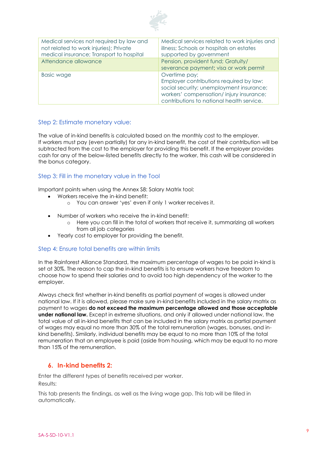

| Medical services not required by law and<br>not related to work injuries); Private<br>medical insurance; Transport to hospital | Medical services related to work injuries and<br>illness; Schools or hospitals on estates<br>supported by government                                                                         |
|--------------------------------------------------------------------------------------------------------------------------------|----------------------------------------------------------------------------------------------------------------------------------------------------------------------------------------------|
| Attendance allowance                                                                                                           | Pension, provident fund; Gratuity/<br>severance payment; visa or work permit                                                                                                                 |
| <b>Basic wage</b>                                                                                                              | Overtime pay;<br>Employer contributions required by law:<br>social security; unemployment insurance;<br>workers' compensation/injury insurance;<br>contributions to national health service. |

#### Step 2: Estimate monetary value:

The value of in-kind benefits is calculated based on the monthly cost to the employer. If workers must pay (even partially) for any in-kind benefit, the cost of their contribution will be subtracted from the cost to the employer for providing this benefit. If the employer provides cash for any of the below-listed benefits directly to the worker, this cash will be considered in the bonus category.

#### Step 3: Fill in the monetary value in the Tool

Important points when using the Annex S8: Salary Matrix tool:

- Workers receive the in-kind benefit:
	- o You can answer 'yes' even if only 1 worker receives it.
- Number of workers who receive the in-kind benefit:
	- o Here you can fill in the total of workers that receive it, summarizing all workers from all job categories
- Yearly cost to employer for providing the benefit.

#### Step 4: Ensure total benefits are within limits

In the Rainforest Alliance Standard, the maximum percentage of wages to be paid in-kind is set at 30%. The reason to cap the in-kind benefits is to ensure workers have freedom to choose how to spend their salaries and to avoid too high dependency of the worker to the employer.

Always check first whether in-kind benefits as partial payment of wages is allowed under national law. If it is allowed, please make sure in-kind benefits included in the salary matrix as payment to wages **do not exceed the maximum percentage allowed and those acceptable under national law.** Except in extreme situations, and only if allowed under national law, the total value of all in-kind benefits that can be included in the salary matrix as partial payment of wages may equal no more than 30% of the total remuneration (wages, bonuses, and inkind benefits). Similarly, individual benefits may be equal to no more than 10% of the total remuneration that an employee is paid (aside from housing, which may be equal to no more than 15% of the remuneration.

#### <span id="page-8-0"></span>**6. In-kind benefits 2:**

Enter the different types of benefits received per worker. Results:

This tab presents the findings, as well as the living wage gap. This tab will be filled in automatically.